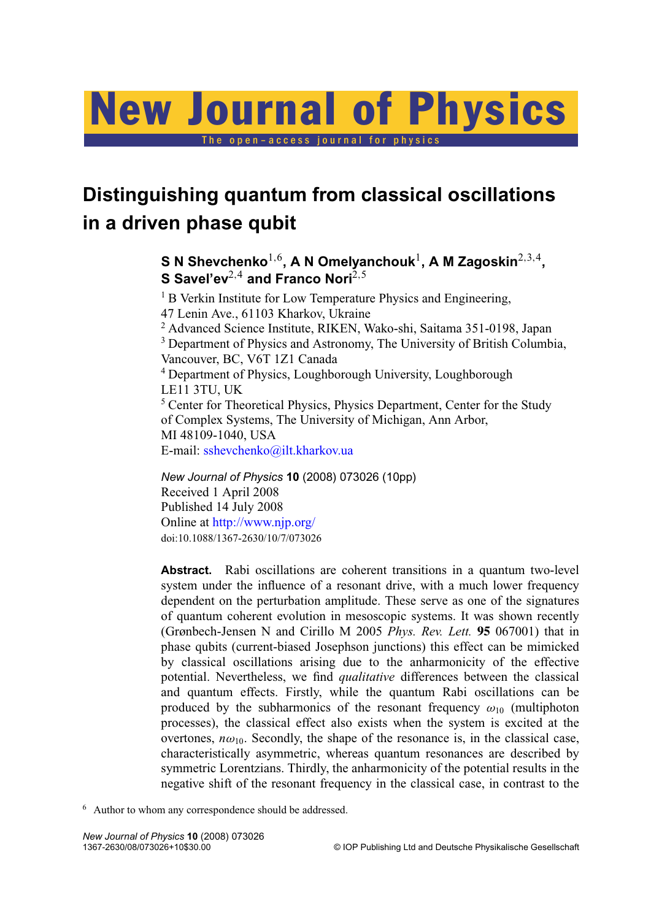# New Journal of Physics

The open-access journal for physics

# **Distinguishing quantum from classical oscillations in a driven phase qubit**

 ${\mathbf S}$  N Shevchenko $^{1,6}$ , A N Omelyanchouk $^{1}$ , A M Zagoskin $^{2,3,4}$ , **S Savel'ev**<sup>2,4</sup> and Franco Nori<sup>2,5</sup>

<sup>1</sup> B Verkin Institute for Low Temperature Physics and Engineering, 47 Lenin Ave., 61103 Kharkov, Ukraine <sup>2</sup> Advanced Science Institute, RIKEN, Wako-shi, Saitama 351-0198, Japan <sup>3</sup> Department of Physics and Astronomy, The University of British Columbia, Vancouver, BC, V6T 1Z1 Canada <sup>4</sup> Department of Physics, Loughborough University, Loughborough LE11 3TU, UK <sup>5</sup> Center for Theoretical Physics, Physics Department, Center for the Study of Complex Systems, The University of Michigan, Ann Arbor, MI 48109-1040, USA E-mail: [sshevchenko@ilt.kharkov.ua](mailto:sshevchenko@ilt.kharkov.ua)

*New Journal of Physics* **10** (2008) 073026 (10pp) Received 1 April 2008 Published 14 July 2008 Online at <http://www.njp.org/> doi:10.1088/1367-2630/10/7/073026

**Abstract.** Rabi oscillations are coherent transitions in a quantum two-level system under the influence of a resonant drive, with a much lower frequency dependent on the perturbation amplitude. These serve as one of the signatures of quantum coherent evolution in mesoscopic systems. It was shown recently (Grønbech-Jensen N and Cirillo M 2005 *Phys. Rev. Lett.* **95** 067001) that in phase qubits (current-biased Josephson junctions) this effect can be mimicked by classical oscillations arising due to the anharmonicity of the effective potential. Nevertheless, we find *qualitative* differences between the classical and quantum effects. Firstly, while the quantum Rabi oscillations can be produced by the subharmonics of the resonant frequency  $\omega_{10}$  (multiphoton processes), the classical effect also exists when the system is excited at the overtones,  $n\omega_{10}$ . Secondly, the shape of the resonance is, in the classical case, characteristically asymmetric, whereas quantum resonances are described by symmetric Lorentzians. Thirdly, the anharmonicity of the potential results in the negative shift of the resonant frequency in the classical case, in contrast to the

<sup>6</sup> Author to whom any correspondence should be addressed.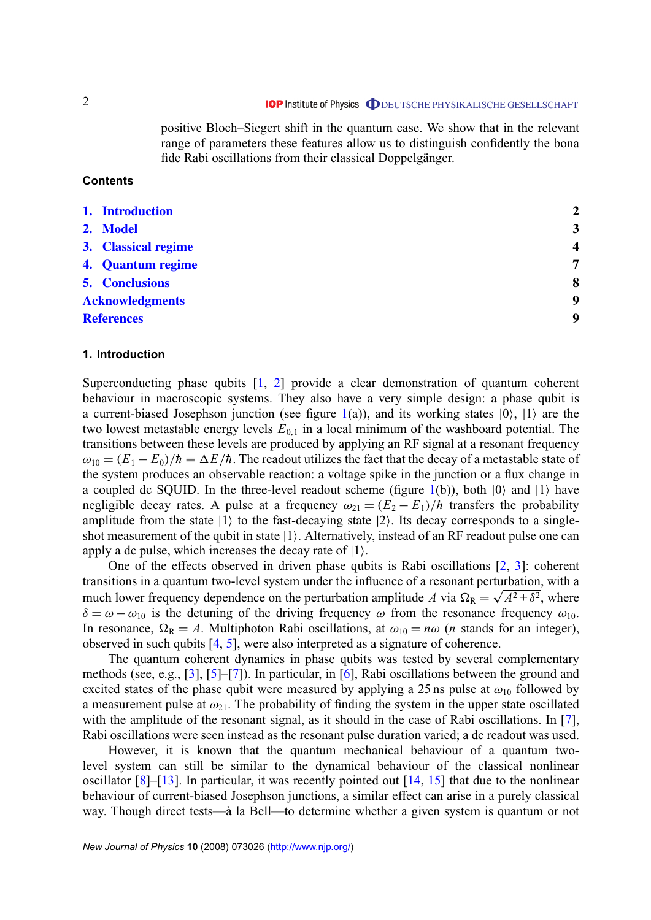positive Bloch–Siegert shift in the quantum case. We show that in the relevant range of parameters these features allow us to distinguish confidently the bona fide Rabi oscillations from their classical Doppelgänger.

# **Contents**

| 1. Introduction        | $\overline{2}$           |
|------------------------|--------------------------|
| 2. Model               | $\overline{3}$           |
| 3. Classical regime    | $\overline{\mathcal{L}}$ |
| 4. Quantum regime      | 7                        |
| <b>5. Conclusions</b>  | 8                        |
| <b>Acknowledgments</b> | 9                        |
| <b>References</b>      | 9                        |
|                        |                          |

#### **1. Introduction**

Superconducting phase qubits  $[1, 2]$  $[1, 2]$  $[1, 2]$  provide a clear demonstration of quantum coherent behaviour in macroscopic systems. They also have a very simple design: a phase qubit is a current-biased Josephson junction (see figure  $1(a)$  $1(a)$ ), and its working states  $|0\rangle$ ,  $|1\rangle$  are the two lowest metastable energy levels  $E_{0,1}$  in a local minimum of the washboard potential. The transitions between these levels are produced by applying an RF signal at a resonant frequency  $\omega_{10} = (E_1 - E_0)/\hbar \equiv \Delta E/\hbar$ . The readout utilizes the fact that the decay of a metastable state of the system produces an observable reaction: a voltage spike in the junction or a flux change in a coupled dc SQUID. In the three-level readout scheme (figure [1\(](#page-2-0)b)), both  $|0\rangle$  and  $|1\rangle$  have negligible decay rates. A pulse at a frequency  $\omega_{21} = (E_2 - E_1)/\hbar$  transfers the probability amplitude from the state  $|1\rangle$  to the fast-decaying state  $|2\rangle$ . Its decay corresponds to a singleshot measurement of the qubit in state  $|1\rangle$ . Alternatively, instead of an RF readout pulse one can apply a dc pulse, which increases the decay rate of  $|1\rangle$ .

One of the effects observed in driven phase qubits is Rabi oscillations [\[2,](#page-8-0) [3\]](#page-8-0): coherent transitions in a quantum two-level system under the influence of a resonant perturbation, with a much lower frequency dependence on the perturbation amplitude A via  $\Omega_R = \sqrt{A^2 + \delta^2}$ , where  $\delta = \omega - \omega_{10}$  is the detuning of the driving frequency  $\omega$  from the resonance frequency  $\omega_{10}$ . In resonance,  $\Omega_R = A$ . Multiphoton Rabi oscillations, at  $\omega_{10} = n\omega$  (*n* stands for an integer), observed in such qubits [\[4,](#page-8-0) [5\]](#page-8-0), were also interpreted as a signature of coherence.

The quantum coherent dynamics in phase qubits was tested by several complementary methods (see, e.g., [\[3\]](#page-8-0), [\[5\]](#page-8-0)–[\[7\]](#page-8-0)). In particular, in [\[6\]](#page-8-0), Rabi oscillations between the ground and excited states of the phase qubit were measured by applying a 25 ns pulse at  $\omega_{10}$  followed by a measurement pulse at  $\omega_{21}$ . The probability of finding the system in the upper state oscillated with the amplitude of the resonant signal, as it should in the case of Rabi oscillations. In [\[7\]](#page-8-0), Rabi oscillations were seen instead as the resonant pulse duration varied; a dc readout was used.

However, it is known that the quantum mechanical behaviour of a quantum twolevel system can still be similar to the dynamical behaviour of the classical nonlinear oscillator [\[8\]](#page-8-0)–[\[13\]](#page-8-0). In particular, it was recently pointed out [\[14,](#page-8-0) [15\]](#page-8-0) that due to the nonlinear behaviour of current-biased Josephson junctions, a similar effect can arise in a purely classical way. Though direct tests—à la Bell—to determine whether a given system is quantum or not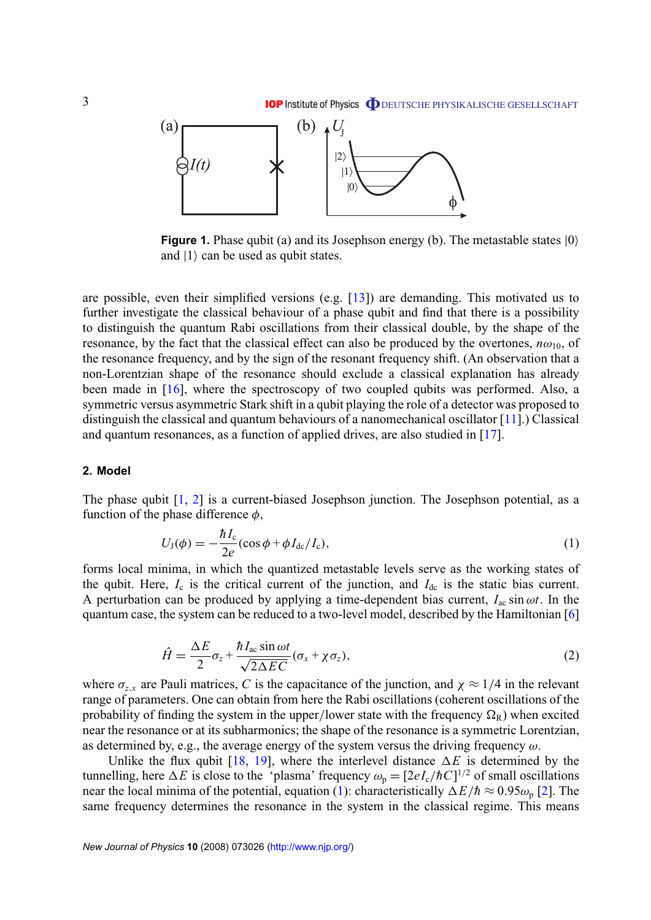<span id="page-2-0"></span>

**Figure 1.** Phase qubit (a) and its Josephson energy (b). The metastable states (0) and  $|1\rangle$  can be used as qubit states.

are possible, even their simplified versions (e.g.  $[13]$ ) are demanding. This motivated us to further investigate the classical behaviour of a phase qubit and find that there is a possibility to distinguish the quantum Rabi oscillations from their classical double, by the shape of the resonance, by the fact that the classical effect can also be produced by the overtones,  $n\omega_{10}$ , of the resonance frequency, and by the sign of the resonant frequency shift. (An observation that a non-Lorentzian shape of the resonance should exclude a classical explanation has already been made in [\[16\]](#page-8-0), where the spectroscopy of two coupled qubits was performed. Also, a symmetric versus asymmetric Stark shift in a qubit playing the role of a detector was proposed to distinguish the classical and quantum behaviours of a nanomechanical oscillator [\[11\]](#page-8-0).) Classical and quantum resonances, as a function of applied drives, are also studied in [\[17\]](#page-8-0).

# **2. Model**

The phase qubit [\[1,](#page-8-0) [2\]](#page-8-0) is a current-biased Josephson junction. The Josephson potential, as a function of the phase difference  $\phi$ ,

$$
U_{\rm J}(\phi) = -\frac{\hbar I_{\rm c}}{2e} (\cos\phi + \phi I_{\rm dc}/I_{\rm c}),\tag{1}
$$

forms local minima, in which the quantized metastable levels serve as the working states of the qubit. Here,  $I_c$  is the critical current of the junction, and  $I_{dc}$  is the static bias current. A perturbation can be produced by applying a time-dependent bias current,  $I_{ac} \sin \omega t$ . In the quantum case, the system can be reduced to a two-level model, described by the Hamiltonian [\[6\]](#page-8-0)

$$
\hat{H} = \frac{\Delta E}{2} \sigma_z + \frac{\hbar I_{ac} \sin \omega t}{\sqrt{2\Delta E C}} (\sigma_x + \chi \sigma_z),
$$
\n(2)

where  $\sigma_{z,x}$  are Pauli matrices, *C* is the capacitance of the junction, and  $\chi \approx 1/4$  in the relevant range of parameters. One can obtain from here the Rabi oscillations (coherent oscillations of the probability of finding the system in the upper/lower state with the frequency  $\Omega_R$ ) when excited near the resonance or at its subharmonics; the shape of the resonance is a symmetric Lorentzian, as determined by, e.g., the average energy of the system versus the driving frequency  $\omega$ .

Unlike the flux qubit [\[18,](#page-8-0) [19\]](#page-8-0), where the interlevel distance  $\Delta E$  is determined by the tunnelling, here  $\Delta E$  is close to the 'plasma' frequency  $\omega_p = [2eI_c/\hbar C]^{1/2}$  of small oscillations near the local minima of the potential, equation (1): characteristically  $\Delta E/\hbar \approx 0.95\omega_p$  [\[2\]](#page-8-0). The same frequency determines the resonance in the system in the classical regime. This means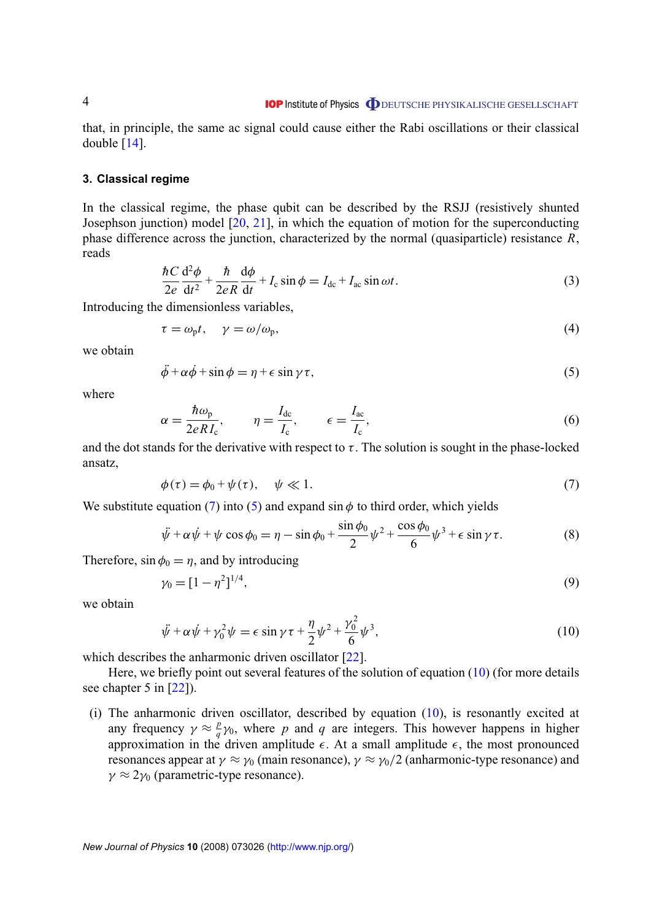<span id="page-3-0"></span>that, in principle, the same ac signal could cause either the Rabi oscillations or their classical double  $[14]$ .

#### **3. Classical regime**

In the classical regime, the phase qubit can be described by the RSJJ (resistively shunted Josephson junction) model [\[20,](#page-8-0) [21\]](#page-8-0), in which the equation of motion for the superconducting phase difference across the junction, characterized by the normal (quasiparticle) resistance *R*, reads

$$
\frac{\hbar C}{2e} \frac{\mathrm{d}^2 \phi}{\mathrm{d}t^2} + \frac{\hbar}{2eR} \frac{\mathrm{d}\phi}{\mathrm{d}t} + I_c \sin \phi = I_{\mathrm{dc}} + I_{\mathrm{ac}} \sin \omega t. \tag{3}
$$

Introducing the dimensionless variables,

$$
\tau = \omega_{\rm p} t, \quad \gamma = \omega/\omega_{\rm p}, \tag{4}
$$

we obtain

$$
\ddot{\phi} + \alpha \dot{\phi} + \sin \phi = \eta + \epsilon \sin \gamma \tau,
$$
\n(5)

where

$$
\alpha = \frac{\hbar \omega_{\rm p}}{2eRI_{\rm c}}, \qquad \eta = \frac{I_{\rm dc}}{I_{\rm c}}, \qquad \epsilon = \frac{I_{\rm ac}}{I_{\rm c}}, \tag{6}
$$

and the dot stands for the derivative with respect to  $\tau$ . The solution is sought in the phase-locked ansatz,

$$
\phi(\tau) = \phi_0 + \psi(\tau), \quad \psi \ll 1. \tag{7}
$$

We substitute equation (7) into (5) and expand  $\sin \phi$  to third order, which yields

$$
\ddot{\psi} + \alpha \dot{\psi} + \psi \cos \phi_0 = \eta - \sin \phi_0 + \frac{\sin \phi_0}{2} \psi^2 + \frac{\cos \phi_0}{6} \psi^3 + \epsilon \sin \gamma \tau.
$$
 (8)

Therefore,  $\sin \phi_0 = \eta$ , and by introducing

$$
\gamma_0 = [1 - \eta^2]^{1/4},\tag{9}
$$

we obtain

$$
\ddot{\psi} + \alpha \dot{\psi} + \gamma_0^2 \psi = \epsilon \sin \gamma \tau + \frac{\eta}{2} \psi^2 + \frac{\gamma_0^2}{6} \psi^3,
$$
\n(10)

which describes the anharmonic driven oscillator [\[22\]](#page-8-0).

Here, we briefly point out several features of the solution of equation (10) (for more details see chapter 5 in [\[22\]](#page-8-0)).

(i) The anharmonic driven oscillator, described by equation (10), is resonantly excited at any frequency  $\gamma \approx \frac{p}{q}$  $q^p$ <sub>*q*</sub>  $\gamma$ <sub>0</sub>, where *p* and *q* are integers. This however happens in higher approximation in the driven amplitude  $\epsilon$ . At a small amplitude  $\epsilon$ , the most pronounced resonances appear at  $\gamma \approx \gamma_0$  (main resonance),  $\gamma \approx \gamma_0/2$  (anharmonic-type resonance) and  $\gamma \approx 2\gamma_0$  (parametric-type resonance).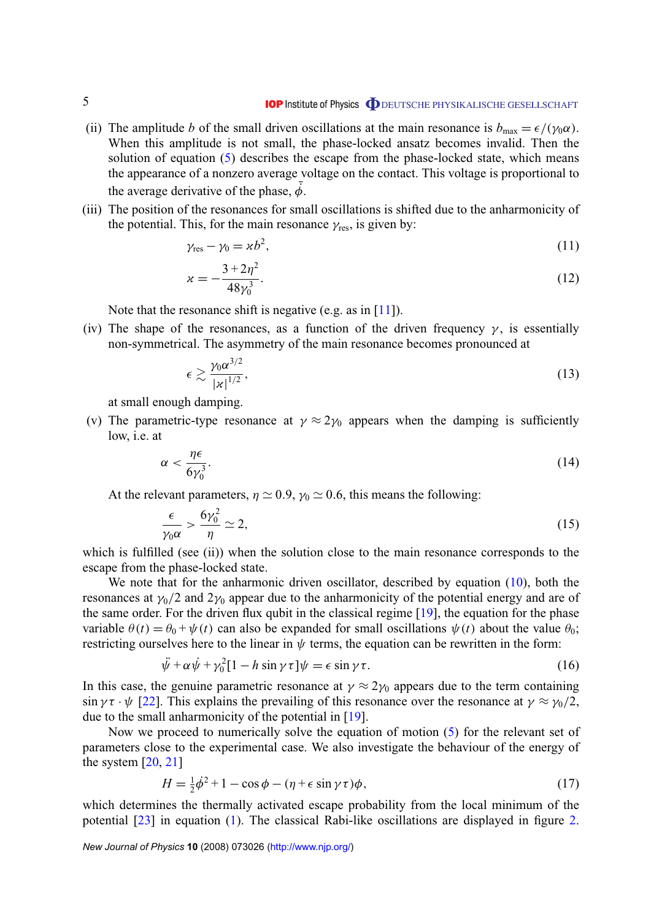- (ii) The amplitude *b* of the small driven oscillations at the main resonance is  $b_{\text{max}} = \epsilon/(\gamma_0 \alpha)$ . When this amplitude is not small, the phase-locked ansatz becomes invalid. Then the solution of equation [\(5\)](#page-3-0) describes the escape from the phase-locked state, which means the appearance of a nonzero average voltage on the contact. This voltage is proportional to the average derivative of the phase,  $\dot{\phi}$ .
- (iii) The position of the resonances for small oscillations is shifted due to the anharmonicity of the potential. This, for the main resonance  $\gamma_{\text{res}}$ , is given by:

$$
\gamma_{\rm res} - \gamma_0 = \kappa b^2,\tag{11}
$$

$$
\kappa = -\frac{3 + 2\eta^2}{48\gamma_0^3}.\tag{12}
$$

Note that the resonance shift is negative (e.g. as in  $[11]$ ).

(iv) The shape of the resonances, as a function of the driven frequency  $\gamma$ , is essentially non-symmetrical. The asymmetry of the main resonance becomes pronounced at

$$
\epsilon \gtrsim \frac{\gamma_0 \alpha^{3/2}}{|x|^{1/2}},\tag{13}
$$

at small enough damping.

(v) The parametric-type resonance at  $\gamma \approx 2\gamma_0$  appears when the damping is sufficiently low, i.e. at

$$
\alpha < \frac{\eta \epsilon}{6\gamma_0^3}.\tag{14}
$$

At the relevant parameters,  $\eta \simeq 0.9$ ,  $\gamma_0 \simeq 0.6$ , this means the following:

$$
\frac{\epsilon}{\gamma_0 \alpha} > \frac{6\gamma_0^2}{\eta} \simeq 2,\tag{15}
$$

which is fulfilled (see (ii)) when the solution close to the main resonance corresponds to the escape from the phase-locked state.

We note that for the anharmonic driven oscillator, described by equation  $(10)$ , both the resonances at  $\gamma_0/2$  and  $2\gamma_0$  appear due to the anharmonicity of the potential energy and are of the same order. For the driven flux qubit in the classical regime [\[19\]](#page-8-0), the equation for the phase variable  $\theta(t) = \theta_0 + \psi(t)$  can also be expanded for small oscillations  $\psi(t)$  about the value  $\theta_0$ ; restricting ourselves here to the linear in  $\psi$  terms, the equation can be rewritten in the form:

$$
\ddot{\psi} + \alpha \dot{\psi} + \gamma_0^2 [1 - h \sin \gamma \tau] \psi = \epsilon \sin \gamma \tau.
$$
 (16)

In this case, the genuine parametric resonance at  $\gamma \approx 2\gamma_0$  appears due to the term containing  $\sin \gamma \tau \cdot \psi$  [\[22\]](#page-8-0). This explains the prevailing of this resonance over the resonance at  $\gamma \approx \gamma_0/2$ , due to the small anharmonicity of the potential in [\[19\]](#page-8-0).

Now we proceed to numerically solve the equation of motion [\(5\)](#page-3-0) for the relevant set of parameters close to the experimental case. We also investigate the behaviour of the energy of the system  $[20, 21]$  $[20, 21]$  $[20, 21]$ 

$$
H = \frac{1}{2}\dot{\phi}^2 + 1 - \cos\phi - (\eta + \epsilon\sin\gamma\tau)\phi,\tag{17}
$$

which determines the thermally activated escape probability from the local minimum of the potential [\[23\]](#page-8-0) in equation [\(1\)](#page-2-0). The classical Rabi-like oscillations are displayed in figure [2.](#page-5-0)

*New Journal of Physics* **10** (2008) 073026 [\(http://www.njp.org/\)](http://www.njp.org/)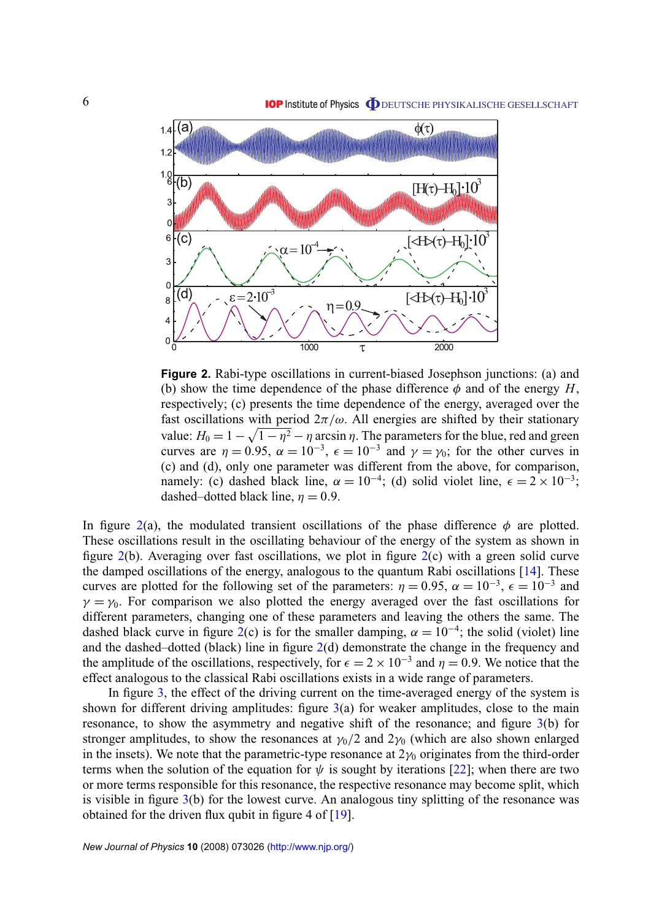<span id="page-5-0"></span>

**Figure 2.** Rabi-type oscillations in current-biased Josephson junctions: (a) and (b) show the time dependence of the phase difference  $\phi$  and of the energy *H*, respectively; (c) presents the time dependence of the energy, averaged over the fast oscillations with period  $2\pi/\omega$ . All energies are shifted by their stationary value:  $H_0 = 1 - \sqrt{1 - \eta^2} - \eta$  arcsin  $\eta$ . The parameters for the blue, red and green curves are  $\eta = 0.95$ ,  $\alpha = 10^{-3}$ ,  $\epsilon = 10^{-3}$  and  $\gamma = \gamma_0$ ; for the other curves in (c) and (d), only one parameter was different from the above, for comparison, namely: (c) dashed black line,  $\alpha = 10^{-4}$ ; (d) solid violet line,  $\epsilon = 2 \times 10^{-3}$ ; dashed–dotted black line,  $\eta = 0.9$ .

In figure 2(a), the modulated transient oscillations of the phase difference  $\phi$  are plotted. These oscillations result in the oscillating behaviour of the energy of the system as shown in figure  $2(b)$ . Averaging over fast oscillations, we plot in figure  $2(c)$  with a green solid curve the damped oscillations of the energy, analogous to the quantum Rabi oscillations [\[14\]](#page-8-0). These curves are plotted for the following set of the parameters:  $\eta = 0.95$ ,  $\alpha = 10^{-3}$ ,  $\epsilon = 10^{-3}$  and  $\gamma = \gamma_0$ . For comparison we also plotted the energy averaged over the fast oscillations for different parameters, changing one of these parameters and leaving the others the same. The dashed black curve in figure 2(c) is for the smaller damping,  $\alpha = 10^{-4}$ ; the solid (violet) line and the dashed–dotted (black) line in figure 2(d) demonstrate the change in the frequency and the amplitude of the oscillations, respectively, for  $\epsilon = 2 \times 10^{-3}$  and  $\eta = 0.9$ . We notice that the effect analogous to the classical Rabi oscillations exists in a wide range of parameters.

In figure [3,](#page-6-0) the effect of the driving current on the time-averaged energy of the system is shown for different driving amplitudes: figure  $3(a)$  $3(a)$  for weaker amplitudes, close to the main resonance, to show the asymmetry and negative shift of the resonance; and figure [3\(](#page-6-0)b) for stronger amplitudes, to show the resonances at  $\gamma_0/2$  and  $2\gamma_0$  (which are also shown enlarged in the insets). We note that the parametric-type resonance at  $2\gamma_0$  originates from the third-order terms when the solution of the equation for  $\psi$  is sought by iterations [\[22\]](#page-8-0); when there are two or more terms responsible for this resonance, the respective resonance may become split, which is visible in figure [3\(](#page-6-0)b) for the lowest curve. An analogous tiny splitting of the resonance was obtained for the driven flux qubit in figure 4 of [\[19\]](#page-8-0).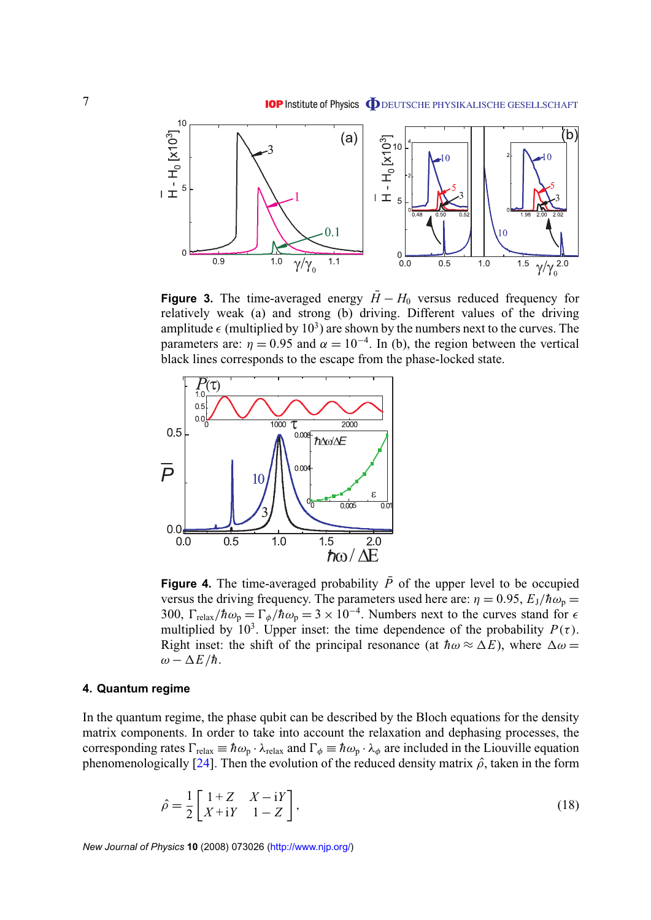<span id="page-6-0"></span>

**Figure 3.** The time-averaged energy  $\bar{H} - H_0$  versus reduced frequency for relatively weak (a) and strong (b) driving. Different values of the driving amplitude  $\epsilon$  (multiplied by 10<sup>3</sup>) are shown by the numbers next to the curves. The parameters are:  $\eta = 0.95$  and  $\alpha = 10^{-4}$ . In (b), the region between the vertical black lines corresponds to the escape from the phase-locked state.



**Figure 4.** The time-averaged probability  $\overline{P}$  of the upper level to be occupied versus the driving frequency. The parameters used here are:  $\eta = 0.95$ ,  $E_J/\hbar\omega_p =$ 300,  $\Gamma_{\text{relax}}/\hbar\omega_p = \Gamma_\phi/\hbar\omega_p = 3 \times 10^{-4}$ . Numbers next to the curves stand for  $\epsilon$ multiplied by 10<sup>3</sup>. Upper inset: the time dependence of the probability  $P(\tau)$ . Right inset: the shift of the principal resonance (at  $\hbar\omega \approx \Delta E$ ), where  $\Delta \omega =$  $ω - ΔE/\hbar$ .

# **4. Quantum regime**

In the quantum regime, the phase qubit can be described by the Bloch equations for the density matrix components. In order to take into account the relaxation and dephasing processes, the corresponding rates  $\Gamma_{relax} \equiv \hbar \omega_p \cdot \lambda_{relax}$  and  $\Gamma_\phi \equiv \hbar \omega_p \cdot \lambda_\phi$  are included in the Liouville equation phenomenologically [\[24\]](#page-8-0). Then the evolution of the reduced density matrix  $\hat{\rho}$ , taken in the form

$$
\hat{\rho} = \frac{1}{2} \begin{bmatrix} 1+Z & X-iY \\ X+iY & 1-Z \end{bmatrix},\tag{18}
$$

*New Journal of Physics* **10** (2008) 073026 [\(http://www.njp.org/\)](http://www.njp.org/)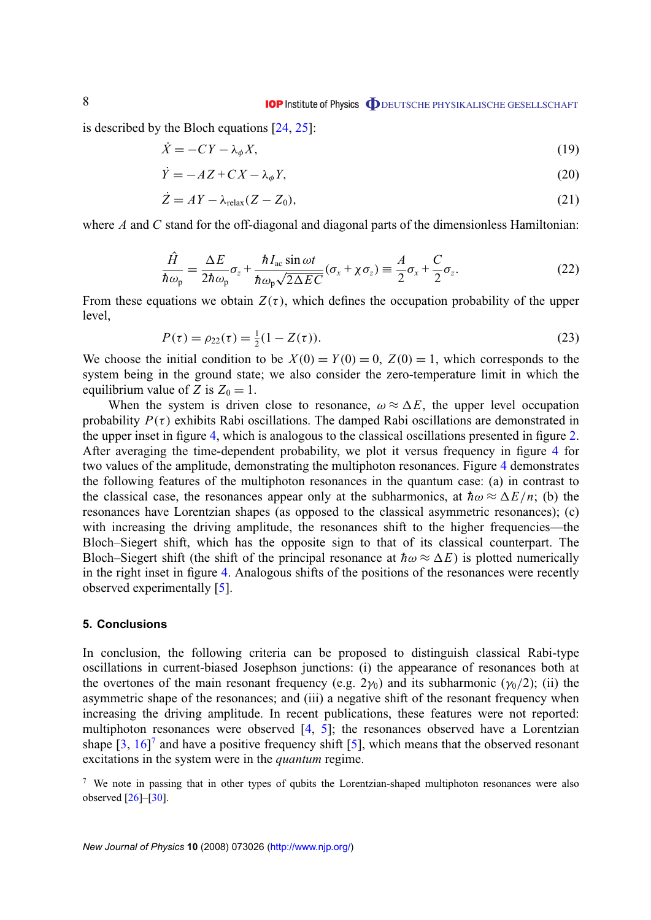<span id="page-7-0"></span>is described by the Bloch equations [\[24,](#page-8-0) [25\]](#page-8-0):

$$
\dot{X} = -CY - \lambda_{\phi} X,\tag{19}
$$

$$
\dot{Y} = -AZ + CX - \lambda_{\phi}Y,\tag{20}
$$

$$
\dot{Z} = AY - \lambda_{\text{relax}}(Z - Z_0),\tag{21}
$$

where *A* and *C* stand for the off-diagonal and diagonal parts of the dimensionless Hamiltonian:

$$
\frac{\hat{H}}{\hbar\omega_{\rm p}} = \frac{\Delta E}{2\hbar\omega_{\rm p}}\sigma_z + \frac{\hbar I_{\rm ac} \sin \omega t}{\hbar\omega_{\rm p}\sqrt{2\Delta E C}}(\sigma_x + \chi\sigma_z) \equiv \frac{A}{2}\sigma_x + \frac{C}{2}\sigma_z.
$$
\n(22)

From these equations we obtain  $Z(\tau)$ , which defines the occupation probability of the upper level,

$$
P(\tau) = \rho_{22}(\tau) = \frac{1}{2}(1 - Z(\tau)).
$$
\n(23)

We choose the initial condition to be  $X(0) = Y(0) = 0$ ,  $Z(0) = 1$ , which corresponds to the system being in the ground state; we also consider the zero-temperature limit in which the equilibrium value of *Z* is  $Z_0 = 1$ .

When the system is driven close to resonance,  $\omega \approx \Delta E$ , the upper level occupation probability  $P(\tau)$  exhibits Rabi oscillations. The damped Rabi oscillations are demonstrated in the upper inset in figure [4,](#page-6-0) which is analogous to the classical oscillations presented in figure [2.](#page-5-0) After averaging the time-dependent probability, we plot it versus frequency in figure [4](#page-6-0) for two values of the amplitude, demonstrating the multiphoton resonances. Figure [4](#page-6-0) demonstrates the following features of the multiphoton resonances in the quantum case: (a) in contrast to the classical case, the resonances appear only at the subharmonics, at  $\hbar\omega \approx \Delta E/n$ ; (b) the resonances have Lorentzian shapes (as opposed to the classical asymmetric resonances); (c) with increasing the driving amplitude, the resonances shift to the higher frequencies—the Bloch–Siegert shift, which has the opposite sign to that of its classical counterpart. The Bloch–Siegert shift (the shift of the principal resonance at  $\hbar \omega \approx \Delta E$ ) is plotted numerically in the right inset in figure [4.](#page-6-0) Analogous shifts of the positions of the resonances were recently observed experimentally [\[5\]](#page-8-0).

#### **5. Conclusions**

In conclusion, the following criteria can be proposed to distinguish classical Rabi-type oscillations in current-biased Josephson junctions: (i) the appearance of resonances both at the overtones of the main resonant frequency (e.g. 2 $\gamma_0$ ) and its subharmonic ( $\gamma_0/2$ ); (ii) the asymmetric shape of the resonances; and (iii) a negative shift of the resonant frequency when increasing the driving amplitude. In recent publications, these features were not reported: multiphoton resonances were observed [\[4,](#page-8-0) [5\]](#page-8-0); the resonances observed have a Lorentzian shape  $\left[3, 16\right]^7$  $\left[3, 16\right]^7$  $\left[3, 16\right]^7$  and have a positive frequency shift  $\left[5\right]$ , which means that the observed resonant excitations in the system were in the *quantum* regime.

<sup>&</sup>lt;sup>7</sup> We note in passing that in other types of qubits the Lorentzian-shaped multiphoton resonances were also observed  $[26]$ – $[30]$ .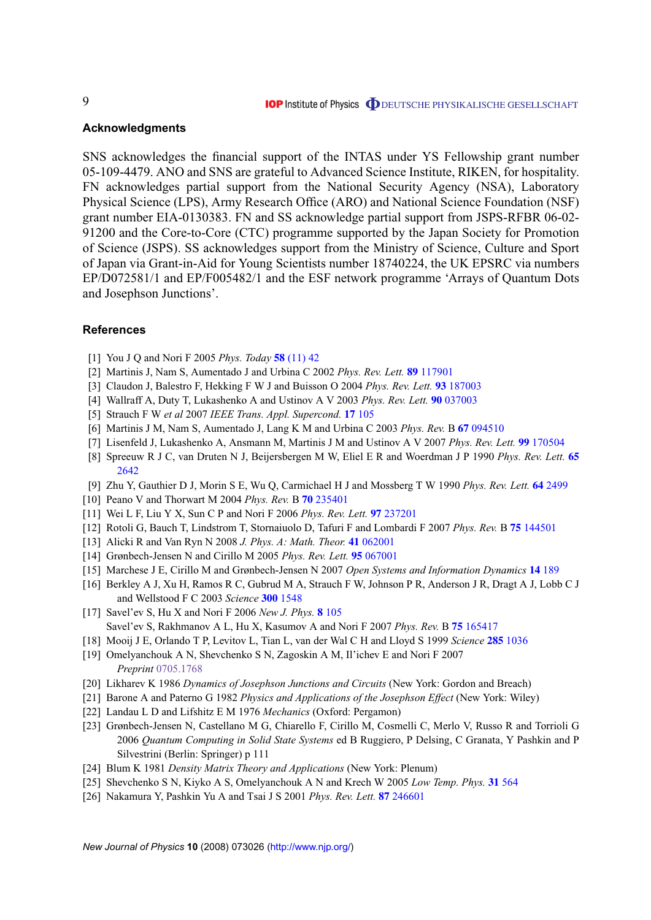# <span id="page-8-0"></span>**Acknowledgments**

SNS acknowledges the financial support of the INTAS under YS Fellowship grant number 05-109-4479. ANO and SNS are grateful to Advanced Science Institute, RIKEN, for hospitality. FN acknowledges partial support from the National Security Agency (NSA), Laboratory Physical Science (LPS), Army Research Office (ARO) and National Science Foundation (NSF) grant number EIA-0130383. FN and SS acknowledge partial support from JSPS-RFBR 06-02- 91200 and the Core-to-Core (CTC) programme supported by the Japan Society for Promotion of Science (JSPS). SS acknowledges support from the Ministry of Science, Culture and Sport of Japan via Grant-in-Aid for Young Scientists number 18740224, the UK EPSRC via numbers EP/D072581/1 and EP/F005482/1 and the ESF network programme 'Arrays of Quantum Dots and Josephson Junctions'.

# **References**

- [1] You J Q and Nori F 2005 *Phys. Today* **58** [\(11\) 42](http://dx.doi.org/10.1063/1.2155757)
- [2] Martinis J, Nam S, Aumentado J and Urbina C 2002 *Phys. Rev. Lett.* **89** [117901](http://dx.doi.org/10.1103/PhysRevLett.89.117901)
- [3] Claudon J, Balestro F, Hekking F W J and Buisson O 2004 *Phys. Rev. Lett.* **93** [187003](http://dx.doi.org/10.1103/PhysRevLett.93.187003)
- [4] Wallraff A, Duty T, Lukashenko A and Ustinov A V 2003 *Phys. Rev. Lett.* **90** [037003](http://dx.doi.org/10.1103/PhysRevLett.90.037003)
- [5] Strauch F W *et al* 2007 *IEEE Trans. Appl. Supercond.* **17** [105](http://dx.doi.org/10.1109/TASC.2007.898247)
- [6] Martinis J M, Nam S, Aumentado J, Lang K M and Urbina C 2003 *Phys. Rev.* B **67** [094510](http://dx.doi.org/10.1103/PhysRevB.67.094510)
- [7] Lisenfeld J, Lukashenko A, Ansmann M, Martinis J M and Ustinov A V 2007 *Phys. Rev. Lett.* **99** [170504](http://dx.doi.org/10.1103/PhysRevLett.99.170504)
- [8] Spreeuw R J C, van Druten N J, Beijersbergen M W, Eliel E R and Woerdman J P 1990 *Phys. Rev. Lett.* **[65](http://dx.doi.org/10.1103/PhysRevLett.65.2642)** [2642](http://dx.doi.org/10.1103/PhysRevLett.65.2642)
- [9] Zhu Y, Gauthier D J, Morin S E, Wu Q, Carmichael H J and Mossberg T W 1990 *Phys. Rev. Lett.* **64** [2499](http://dx.doi.org/10.1103/PhysRevLett.64.2499)
- [10] Peano V and Thorwart M 2004 *Phys. Rev.* B **70** [235401](http://dx.doi.org/10.1103/PhysRevB.70.235401)
- [11] Wei L F, Liu Y X, Sun C P and Nori F 2006 *Phys. Rev. Lett.* **97** [237201](http://dx.doi.org/10.1103/PhysRevLett.97.237201)
- [12] Rotoli G, Bauch T, Lindstrom T, Stornaiuolo D, Tafuri F and Lombardi F 2007 *Phys. Rev.* B **75** [144501](http://dx.doi.org/10.1103/PhysRevB.75.144501)
- [13] Alicki R and Van Ryn N 2008 *J. Phys. A: Math. Theor.* **41** [062001](http://dx.doi.org/10.1088/1751-8113/41/6/062001)
- [14] Grønbech-Jensen N and Cirillo M 2005 *Phys. Rev. Lett.* **95** [067001](http://dx.doi.org/10.1103/PhysRevLett.95.067001)
- [15] Marchese J E, Cirillo M and Grønbech-Jensen N 2007 *Open Systems and Information Dynamics* **14** [189](http://dx.doi.org/10.1007/s11080-007-9047-1)
- [16] Berkley A J, Xu H, Ramos R C, Gubrud M A, Strauch F W, Johnson P R, Anderson J R, Dragt A J, Lobb C J and Wellstood F C 2003 *Science* **300** [1548](http://dx.doi.org/10.1126/science.1084528)
- [17] Savel'ev S, Hu X and Nori F 2006 *New J. Phys.* **8** [105](http://dx.doi.org/10.1088/1367-2630/8/6/105) Savel'ev S, Rakhmanov A L, Hu X, Kasumov A and Nori F 2007 *Phys. Rev.* B **75** [165417](http://dx.doi.org/10.1103/PhysRevB.75.165417)
- [18] Mooij J E, Orlando T P, Levitov L, Tian L, van der Wal C H and Lloyd S 1999 *Science* **285** [1036](http://dx.doi.org/10.1126/science.285.5430.1036)
- [19] Omelyanchouk A N, Shevchenko S N, Zagoskin A M, Il'ichev E and Nori F 2007 *Preprint* [0705.1768](http://arxiv.org/abs/0705.1768)
- [20] Likharev K 1986 *Dynamics of Josephson Junctions and Circuits* (New York: Gordon and Breach)
- [21] Barone A and Paterno G 1982 *Physics and Applications of the Josephson Effect* (New York: Wiley)
- [22] Landau L D and Lifshitz E M 1976 *Mechanics* (Oxford: Pergamon)
- [23] Grønbech-Jensen N, Castellano M G, Chiarello F, Cirillo M, Cosmelli C, Merlo V, Russo R and Torrioli G 2006 *Quantum Computing in Solid State Systems* ed B Ruggiero, P Delsing, C Granata, Y Pashkin and P Silvestrini (Berlin: Springer) p 111
- [24] Blum K 1981 *Density Matrix Theory and Applications* (New York: Plenum)
- [25] Shevchenko S N, Kiyko A S, Omelyanchouk A N and Krech W 2005 *Low Temp. Phys.* **31** [564](http://dx.doi.org/10.1063/1.2001633)
- [26] Nakamura Y, Pashkin Yu A and Tsai J S 2001 *Phys. Rev. Lett.* **87** [246601](http://dx.doi.org/10.1103/PhysRevLett.87.246601)